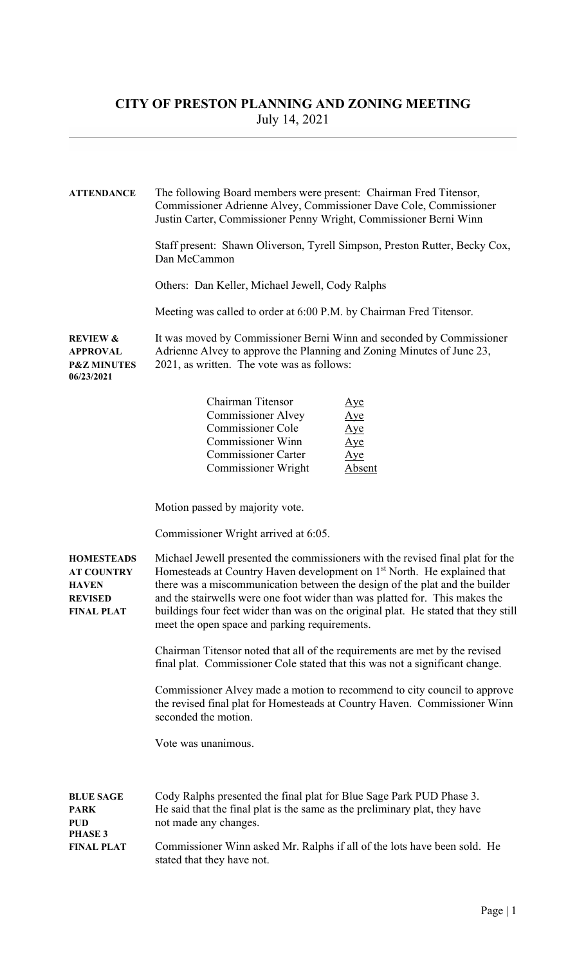## CITY OF PRESTON PLANNING AND ZONING MEETING July 14, 2021

| <b>ATTENDANCE</b>                                                                      | The following Board members were present: Chairman Fred Titensor,<br>Commissioner Adrienne Alvey, Commissioner Dave Cole, Commissioner<br>Justin Carter, Commissioner Penny Wright, Commissioner Berni Winn                                                                                                                                                                                                                                                                                                                                                                                                                               |                                                                 |  |  |
|----------------------------------------------------------------------------------------|-------------------------------------------------------------------------------------------------------------------------------------------------------------------------------------------------------------------------------------------------------------------------------------------------------------------------------------------------------------------------------------------------------------------------------------------------------------------------------------------------------------------------------------------------------------------------------------------------------------------------------------------|-----------------------------------------------------------------|--|--|
|                                                                                        | Staff present: Shawn Oliverson, Tyrell Simpson, Preston Rutter, Becky Cox,<br>Dan McCammon                                                                                                                                                                                                                                                                                                                                                                                                                                                                                                                                                |                                                                 |  |  |
|                                                                                        | Others: Dan Keller, Michael Jewell, Cody Ralphs                                                                                                                                                                                                                                                                                                                                                                                                                                                                                                                                                                                           |                                                                 |  |  |
|                                                                                        | Meeting was called to order at 6:00 P.M. by Chairman Fred Titensor.                                                                                                                                                                                                                                                                                                                                                                                                                                                                                                                                                                       |                                                                 |  |  |
| <b>REVIEW &amp;</b><br><b>APPROVAL</b><br><b>P&amp;Z MINUTES</b><br>06/23/2021         | It was moved by Commissioner Berni Winn and seconded by Commissioner<br>Adrienne Alvey to approve the Planning and Zoning Minutes of June 23,<br>2021, as written. The vote was as follows:                                                                                                                                                                                                                                                                                                                                                                                                                                               |                                                                 |  |  |
|                                                                                        | Chairman Titensor<br><b>Commissioner Alvey</b><br><b>Commissioner Cole</b><br><b>Commissioner Winn</b><br><b>Commissioner Carter</b><br>Commissioner Wright                                                                                                                                                                                                                                                                                                                                                                                                                                                                               | <u>Aye</u><br>Aye<br>Aye<br>$\Delta$ ye<br>Aye<br><u>Absent</u> |  |  |
|                                                                                        | Motion passed by majority vote.                                                                                                                                                                                                                                                                                                                                                                                                                                                                                                                                                                                                           |                                                                 |  |  |
|                                                                                        | Commissioner Wright arrived at 6:05.                                                                                                                                                                                                                                                                                                                                                                                                                                                                                                                                                                                                      |                                                                 |  |  |
| <b>HOMESTEADS</b><br><b>AT COUNTRY</b><br><b>HAVEN</b><br><b>REVISED</b><br>FINAL PLAT | Michael Jewell presented the commissioners with the revised final plat for the<br>Homesteads at Country Haven development on 1 <sup>st</sup> North. He explained that<br>there was a miscommunication between the design of the plat and the builder<br>and the stairwells were one foot wider than was platted for. This makes the<br>buildings four feet wider than was on the original plat. He stated that they still<br>meet the open space and parking requirements.<br>Chairman Titensor noted that all of the requirements are met by the revised<br>final plat. Commissioner Cole stated that this was not a significant change. |                                                                 |  |  |
|                                                                                        |                                                                                                                                                                                                                                                                                                                                                                                                                                                                                                                                                                                                                                           |                                                                 |  |  |
|                                                                                        | Commissioner Alvey made a motion to recommend to city council to approve<br>the revised final plat for Homesteads at Country Haven. Commissioner Winn<br>seconded the motion.                                                                                                                                                                                                                                                                                                                                                                                                                                                             |                                                                 |  |  |
|                                                                                        | Vote was unanimous.                                                                                                                                                                                                                                                                                                                                                                                                                                                                                                                                                                                                                       |                                                                 |  |  |
| <b>BLUE SAGE</b><br><b>PARK</b><br>PUD<br><b>PHASE 3</b>                               | Cody Ralphs presented the final plat for Blue Sage Park PUD Phase 3.<br>He said that the final plat is the same as the preliminary plat, they have<br>not made any changes.                                                                                                                                                                                                                                                                                                                                                                                                                                                               |                                                                 |  |  |
| <b>FINAL PLAT</b>                                                                      | Commissioner Winn asked Mr. Ralphs if all of the lots have been sold. He<br>stated that they have not.                                                                                                                                                                                                                                                                                                                                                                                                                                                                                                                                    |                                                                 |  |  |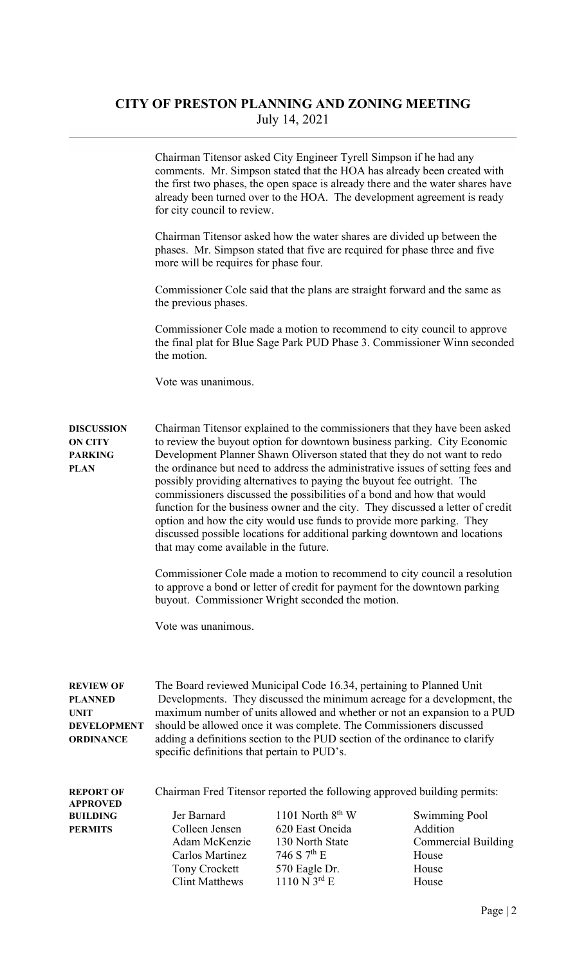## CITY OF PRESTON PLANNING AND ZONING MEETING July 14, 2021

|                                                                                             | Chairman Titensor asked City Engineer Tyrell Simpson if he had any<br>comments. Mr. Simpson stated that the HOA has already been created with<br>the first two phases, the open space is already there and the water shares have<br>already been turned over to the HOA. The development agreement is ready<br>for city council to review.                                                                                                                                                                                                                                                                                                                                                                                                                    |                                                                                                                                |                                                                                  |  |
|---------------------------------------------------------------------------------------------|---------------------------------------------------------------------------------------------------------------------------------------------------------------------------------------------------------------------------------------------------------------------------------------------------------------------------------------------------------------------------------------------------------------------------------------------------------------------------------------------------------------------------------------------------------------------------------------------------------------------------------------------------------------------------------------------------------------------------------------------------------------|--------------------------------------------------------------------------------------------------------------------------------|----------------------------------------------------------------------------------|--|
|                                                                                             | Chairman Titensor asked how the water shares are divided up between the<br>phases. Mr. Simpson stated that five are required for phase three and five<br>more will be requires for phase four.                                                                                                                                                                                                                                                                                                                                                                                                                                                                                                                                                                |                                                                                                                                |                                                                                  |  |
|                                                                                             | Commissioner Cole said that the plans are straight forward and the same as<br>the previous phases.                                                                                                                                                                                                                                                                                                                                                                                                                                                                                                                                                                                                                                                            |                                                                                                                                |                                                                                  |  |
|                                                                                             | the motion.                                                                                                                                                                                                                                                                                                                                                                                                                                                                                                                                                                                                                                                                                                                                                   | Commissioner Cole made a motion to recommend to city council to approve                                                        | the final plat for Blue Sage Park PUD Phase 3. Commissioner Winn seconded        |  |
|                                                                                             | Vote was unanimous.                                                                                                                                                                                                                                                                                                                                                                                                                                                                                                                                                                                                                                                                                                                                           |                                                                                                                                |                                                                                  |  |
| <b>DISCUSSION</b><br><b>ON CITY</b><br><b>PARKING</b><br><b>PLAN</b>                        | Chairman Titensor explained to the commissioners that they have been asked<br>to review the buyout option for downtown business parking. City Economic<br>Development Planner Shawn Oliverson stated that they do not want to redo<br>the ordinance but need to address the administrative issues of setting fees and<br>possibly providing alternatives to paying the buyout fee outright. The<br>commissioners discussed the possibilities of a bond and how that would<br>function for the business owner and the city. They discussed a letter of credit<br>option and how the city would use funds to provide more parking. They<br>discussed possible locations for additional parking downtown and locations<br>that may come available in the future. |                                                                                                                                |                                                                                  |  |
|                                                                                             |                                                                                                                                                                                                                                                                                                                                                                                                                                                                                                                                                                                                                                                                                                                                                               | to approve a bond or letter of credit for payment for the downtown parking<br>buyout. Commissioner Wright seconded the motion. | Commissioner Cole made a motion to recommend to city council a resolution        |  |
|                                                                                             | Vote was unanimous.                                                                                                                                                                                                                                                                                                                                                                                                                                                                                                                                                                                                                                                                                                                                           |                                                                                                                                |                                                                                  |  |
| <b>REVIEW OF</b><br><b>PLANNED</b><br><b>UNIT</b><br><b>DEVELOPMENT</b><br><b>ORDINANCE</b> | The Board reviewed Municipal Code 16.34, pertaining to Planned Unit<br>Developments. They discussed the minimum acreage for a development, the<br>maximum number of units allowed and whether or not an expansion to a PUD<br>should be allowed once it was complete. The Commissioners discussed<br>adding a definitions section to the PUD section of the ordinance to clarify<br>specific definitions that pertain to PUD's.                                                                                                                                                                                                                                                                                                                               |                                                                                                                                |                                                                                  |  |
| <b>REPORT OF</b><br><b>APPROVED</b>                                                         | Chairman Fred Titensor reported the following approved building permits:                                                                                                                                                                                                                                                                                                                                                                                                                                                                                                                                                                                                                                                                                      |                                                                                                                                |                                                                                  |  |
| <b>BUILDING</b><br><b>PERMITS</b>                                                           | Jer Barnard<br>Colleen Jensen<br>Adam McKenzie<br>Carlos Martinez<br>Tony Crockett                                                                                                                                                                                                                                                                                                                                                                                                                                                                                                                                                                                                                                                                            | 1101 North $8^{th}$ W<br>620 East Oneida<br>130 North State<br>746 S $7^{th}$ E<br>570 Eagle Dr.                               | <b>Swimming Pool</b><br>Addition<br><b>Commercial Building</b><br>House<br>House |  |
|                                                                                             | <b>Clint Matthews</b>                                                                                                                                                                                                                                                                                                                                                                                                                                                                                                                                                                                                                                                                                                                                         | $1110 N 3^{rd} E$                                                                                                              | House                                                                            |  |